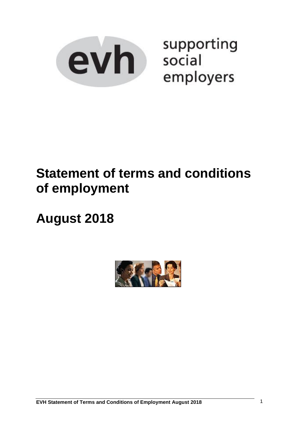

supporting social employers

# **Statement of terms and conditions of employment**

# **August 2018**

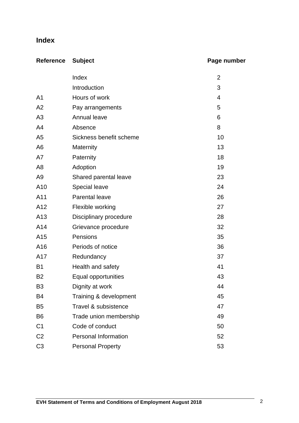# **Index**

| <b>Reference Subject</b> | Page number |
|--------------------------|-------------|
|                          |             |

|                 | Index                    | $\overline{2}$ |
|-----------------|--------------------------|----------------|
|                 | Introduction             | 3              |
| A <sub>1</sub>  | Hours of work            | $\overline{4}$ |
| A2              | Pay arrangements         | 5              |
| A3              | Annual leave             | 6              |
| A4              | Absence                  | 8              |
| A <sub>5</sub>  | Sickness benefit scheme  | 10             |
| A <sub>6</sub>  | Maternity                | 13             |
| A7              | Paternity                | 18             |
| A <sub>8</sub>  | Adoption                 | 19             |
| A <sub>9</sub>  | Shared parental leave    | 23             |
| A10             | <b>Special leave</b>     | 24             |
| A11             | <b>Parental leave</b>    | 26             |
| A12             | Flexible working         | 27             |
| A <sub>13</sub> | Disciplinary procedure   | 28             |
| A14             | Grievance procedure      | 32             |
| A15             | Pensions                 | 35             |
| A16             | Periods of notice        | 36             |
| A17             | Redundancy               | 37             |
| B <sub>1</sub>  | Health and safety        | 41             |
| B <sub>2</sub>  | Equal opportunities      | 43             |
| B <sub>3</sub>  | Dignity at work          | 44             |
| B <sub>4</sub>  | Training & development   | 45             |
| B <sub>5</sub>  | Travel & subsistence     | 47             |
| B <sub>6</sub>  | Trade union membership   | 49             |
| C <sub>1</sub>  | Code of conduct          | 50             |
| C <sub>2</sub>  | Personal Information     | 52             |
| C <sub>3</sub>  | <b>Personal Property</b> | 53             |
|                 |                          |                |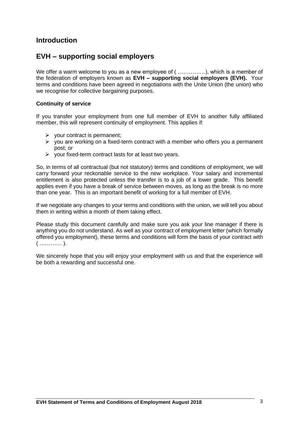# **Introduction**

# **EVH – supporting social employers**

We offer a warm welcome to you as a new employee of ( .................), which is a member of the federation of employers known as **EVH – supporting social employers (EVH).** Your terms and conditions have been agreed in negotiations with the Unite Union (the union) who we recognise for collective bargaining purposes.

#### **Continuity of service**

If you transfer your employment from one full member of EVH to another fully affiliated member, this will represent continuity of employment. This applies if:

- ➢ your contract is permanent;
- $\triangleright$  you are working on a fixed-term contract with a member who offers you a permanent post; or
- $\triangleright$  your fixed-term contract lasts for at least two years.

So, in terms of all contractual (but not statutory) terms and conditions of employment, we will carry forward your reckonable service to the new workplace. Your salary and incremental entitlement is also protected unless the transfer is to a job of a lower grade. This benefit applies even if you have a break of service between moves, as long as the break is no more than one year.This is an important benefit of working for a full member of EVH.

If we negotiate any changes to your terms and conditions with the union, we will tell you about them in writing within a month of them taking effect.

Please study this document carefully and make sure you ask your line manager if there is anything you do not understand. As well as your contract of employment letter (which formally offered you employment), these terms and conditions will form the basis of your contract with ( ………… ).

We sincerely hope that you will enjoy your employment with us and that the experience will be both a rewarding and successful one.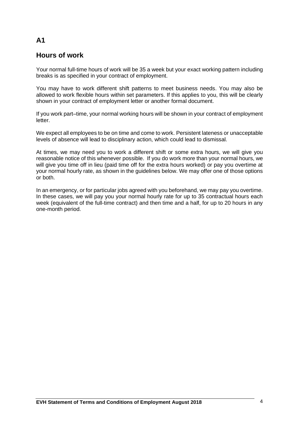# **Hours of work**

Your normal full-time hours of work will be 35 a week but your exact working pattern including breaks is as specified in your contract of employment.

You may have to work different shift patterns to meet business needs. You may also be allowed to work flexible hours within set parameters. If this applies to you, this will be clearly shown in your contract of employment letter or another formal document.

If you work part–time, your normal working hours will be shown in your contract of employment letter.

We expect all employees to be on time and come to work. Persistent lateness or unacceptable levels of absence will lead to disciplinary action, which could lead to dismissal.

At times, we may need you to work a different shift or some extra hours, we will give you reasonable notice of this whenever possible. If you do work more than your normal hours, we will give you time off in lieu (paid time off for the extra hours worked) or pay you overtime at your normal hourly rate, as shown in the guidelines below. We may offer one of those options or both.

In an emergency, or for particular jobs agreed with you beforehand, we may pay you overtime. In these cases, we will pay you your normal hourly rate for up to 35 contractual hours each week (equivalent of the full-time contract) and then time and a half, for up to 20 hours in any one-month period.

# **A1**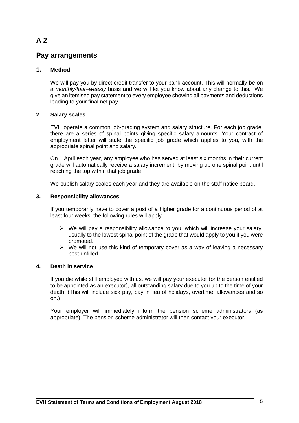# **Pay arrangements**

### **1. Method**

We will pay you by direct credit transfer to your bank account. This will normally be on a *monthly/four–weekly* basis and we will let you know about any change to this. We give an itemised pay statement to every employee showing all payments and deductions leading to your final net pay.

### **2. Salary scales**

EVH operate a common job-grading system and salary structure. For each job grade, there are a series of spinal points giving specific salary amounts. Your contract of employment letter will state the specific job grade which applies to you, with the appropriate spinal point and salary.

On 1 April each year, any employee who has served at least six months in their current grade will automatically receive a salary increment, by moving up one spinal point until reaching the top within that job grade.

We publish salary scales each year and they are available on the staff notice board.

### **3. Responsibility allowances**

If you temporarily have to cover a post of a higher grade for a continuous period of at least four weeks, the following rules will apply.

- $\triangleright$  We will pay a responsibility allowance to you, which will increase your salary, usually to the lowest spinal point of the grade that would apply to you if you were promoted.
- $\triangleright$  We will not use this kind of temporary cover as a way of leaving a necessary post unfilled.

### **4. Death in service**

If you die while still employed with us, we will pay your executor (or the person entitled to be appointed as an executor), all outstanding salary due to you up to the time of your death. (This will include sick pay, pay in lieu of holidays, overtime, allowances and so on.)

Your employer will immediately inform the pension scheme administrators (as appropriate). The pension scheme administrator will then contact your executor.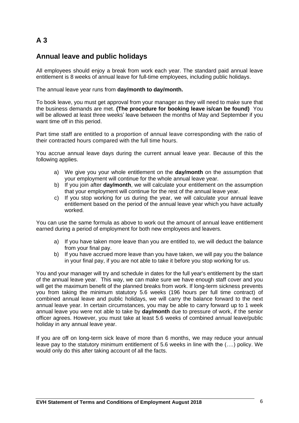# **Annual leave and public holidays**

All employees should enjoy a break from work each year. The standard paid annual leave entitlement is 8 weeks of annual leave for full-time employees, including public holidays.

The annual leave year runs from **day/month to day/month.**

To book leave, you must get approval from your manager as they will need to make sure that the business demands are met. **(The procedure for booking leave is/can be found)** You will be allowed at least three weeks' leave between the months of May and September if you want time off in this period.

Part time staff are entitled to a proportion of annual leave corresponding with the ratio of their contracted hours compared with the full time hours.

You accrue annual leave days during the current annual leave year. Because of this the following applies.

- a) We give you your whole entitlement on the **day/month** on the assumption that your employment will continue for the whole annual leave year.
- b) If you join after **day/month**, we will calculate your entitlement on the assumption that your employment will continue for the rest of the annual leave year.
- c) If you stop working for us during the year, we will calculate your annual leave entitlement based on the period of the annual leave year which you have actually worked.

You can use the same formula as above to work out the amount of annual leave entitlement earned during a period of employment for both new employees and leavers.

- a) If you have taken more leave than you are entitled to, we will deduct the balance from your final pay.
- b) If you have accrued more leave than you have taken, we will pay you the balance in your final pay, if you are not able to take it before you stop working for us.

You and your manager will try and schedule in dates for the full year's entitlement by the start of the annual leave year. This way, we can make sure we have enough staff cover and you will get the maximum benefit of the planned breaks from work. If long-term sickness prevents you from taking the minimum statutory 5.6 weeks (196 hours per full time contract) of combined annual leave and public holidays, we will carry the balance forward to the next annual leave year. In certain circumstances, you may be able to carry forward up to 1 week annual leave you were not able to take by **day/month** due to pressure of work, if the senior officer agrees. However, you must take at least 5.6 weeks of combined annual leave/public holiday in any annual leave year.

If you are off on long-term sick leave of more than 6 months, we may reduce your annual leave pay to the statutory minimum entitlement of 5.6 weeks in line with the (….) policy. We would only do this after taking account of all the facts.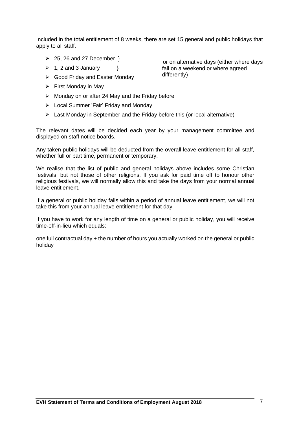Included in the total entitlement of 8 weeks, there are set 15 general and public holidays that apply to all staff.

- $\geq$  25, 26 and 27 December  $\}$
- $\geq 1$ , 2 and 3 January  $\geq 1$
- ➢ Good Friday and Easter Monday
- $\triangleright$  First Monday in May
- $\triangleright$  Monday on or after 24 May and the Friday before
- ➢ Local Summer 'Fair' Friday and Monday
- $\triangleright$  Last Monday in September and the Friday before this (or local alternative)

The relevant dates will be decided each year by your management committee and displayed on staff notice boards.

Any taken public holidays will be deducted from the overall leave entitlement for all staff, whether full or part time, permanent or temporary.

We realise that the list of public and general holidays above includes some Christian festivals, but not those of other religions. If you ask for paid time off to honour other religious festivals, we will normally allow this and take the days from your normal annual leave entitlement.

If a general or public holiday falls within a period of annual leave entitlement, we will not take this from your annual leave entitlement for that day.

If you have to work for any length of time on a general or public holiday, you will receive time-off-in-lieu which equals:

one full contractual day + the number of hours you actually worked on the general or public holiday

or on alternative days (either where days fall on a weekend or where agreed differently)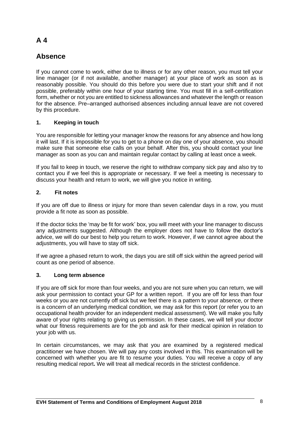# **Absence**

If you cannot come to work, either due to illness or for any other reason, you must tell your line manager (or if not available, another manager) at your place of work as soon as is reasonably possible. You should do this before you were due to start your shift and if not possible, preferably within one hour of your starting time. You must fill in a self-certification form, whether or not you are entitled to sickness allowances and whatever the length or reason for the absence. Pre–arranged authorised absences including annual leave are not covered by this procedure.

# **1. Keeping in touch**

You are responsible for letting your manager know the reasons for any absence and how long it will last. If it is impossible for you to get to a phone on day one of your absence, you should make sure that someone else calls on your behalf. After this, you should contact your line manager as soon as you can and maintain regular contact by calling at least once a week.

If you fail to keep in touch, we reserve the right to withdraw company sick pay and also try to contact you if we feel this is appropriate or necessary. If we feel a meeting is necessary to discuss your health and return to work, we will give you notice in writing.

# **2. Fit notes**

If you are off due to illness or injury for more than seven calendar days in a row, you must provide a fit note as soon as possible.

If the doctor ticks the 'may be fit for work' box, you will meet with your line manager to discuss any adjustments suggested. Although the employer does not have to follow the doctor's advice, we will do our best to help you return to work. However, if we cannot agree about the adjustments, you will have to stay off sick.

If we agree a phased return to work, the days you are still off sick within the agreed period will count as one period of absence.

# **3. Long term absence**

If you are off sick for more than four weeks, and you are not sure when you can return, we will ask your permission to contact your GP for a written report. If you are off for less than four weeks or you are not currently off sick but we feel there is a pattern to your absence, or there is a concern of an underlying medical condition, we may ask for this report (or refer you to an occupational health provider for an independent medical assessment). We will make you fully aware of your rights relating to giving us permission. In these cases, we will tell your doctor what our fitness requirements are for the job and ask for their medical opinion in relation to your job with us.

In certain circumstances, we may ask that you are examined by a registered medical practitioner we have chosen. We will pay any costs involved in this. This examination will be concerned with whether you are fit to resume your duties. You will receive a copy of any resulting medical report**.** We will treat all medical records in the strictest confidence.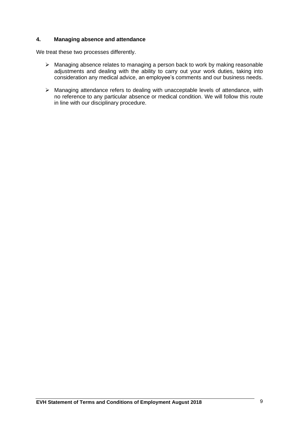### **4. Managing absence and attendance**

We treat these two processes differently.

- ➢ Managing absence relates to managing a person back to work by making reasonable adjustments and dealing with the ability to carry out your work duties, taking into consideration any medical advice, an employee's comments and our business needs.
- ➢ Managing attendance refers to dealing with unacceptable levels of attendance, with no reference to any particular absence or medical condition. We will follow this route in line with our disciplinary procedure.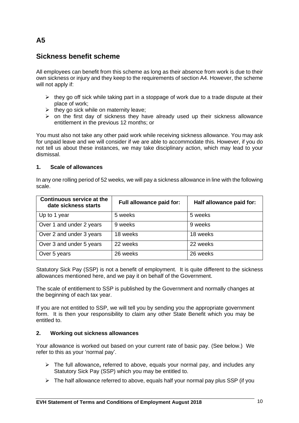# **Sickness benefit scheme**

All employees can benefit from this scheme as long as their absence from work is due to their own sickness or injury and they keep to the requirements of section A4. However, the scheme will not apply if:

- $\triangleright$  they go off sick while taking part in a stoppage of work due to a trade dispute at their place of work;
- $\triangleright$  they go sick while on maternity leave;
- $\triangleright$  on the first day of sickness they have already used up their sickness allowance entitlement in the previous 12 months; or

You must also not take any other paid work while receiving sickness allowance. You may ask for unpaid leave and we will consider if we are able to accommodate this. However, if you do not tell us about these instances, we may take disciplinary action, which may lead to your dismissal.

### **1. Scale of allowances**

In any one rolling period of 52 weeks, we will pay a sickness allowance in line with the following scale.

| <b>Continuous service at the</b><br>date sickness starts | Full allowance paid for: | Half allowance paid for: |
|----------------------------------------------------------|--------------------------|--------------------------|
| Up to 1 year                                             | 5 weeks                  | 5 weeks                  |
| Over 1 and under 2 years                                 | 9 weeks                  | 9 weeks                  |
| Over 2 and under 3 years                                 | 18 weeks                 | 18 weeks                 |
| Over 3 and under 5 years                                 | 22 weeks                 | 22 weeks                 |
| Over 5 years                                             | 26 weeks                 | 26 weeks                 |

Statutory Sick Pay (SSP) is not a benefit of employment. It is quite different to the sickness allowances mentioned here, and we pay it on behalf of the Government.

The scale of entitlement to SSP is published by the Government and normally changes at the beginning of each tax year.

If you are not entitled to SSP, we will tell you by sending you the appropriate government form. It is then your responsibility to claim any other State Benefit which you may be entitled to.

# **2. Working out sickness allowances**

Your allowance is worked out based on your current rate of basic pay. (See below.) We refer to this as your 'normal pay'.

- ➢ The full allowance**,** referred to above, equals your normal pay, and includes any Statutory Sick Pay (SSP) which you may be entitled to.
- $\triangleright$  The half allowance referred to above, equals half your normal pay plus SSP (if you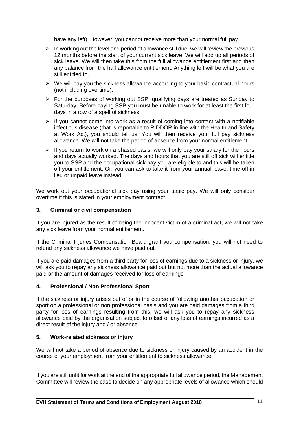have any left). However, you cannot receive more than your normal full pay.

- $\triangleright$  In working out the level and period of allowance still due, we will review the previous 12 months before the start of your current sick leave. We will add up all periods of sick leave. We will then take this from the full allowance entitlement first and then any balance from the half allowance entitlement. Anything left will be what you are still entitled to.
- ➢ We will pay you the sickness allowance according to your basic contractual hours (not including overtime).
- ➢ For the purposes of working out SSP, qualifying days are treated as Sunday to Saturday. Before paying SSP you must be unable to work for at least the first four days in a row of a spell of sickness.
- $\triangleright$  If you cannot come into work as a result of coming into contact with a notifiable infectious disease (that is reportable to RIDDOR in line with the Health and Safety at Work Act), you should tell us. You will then receive your full pay sickness allowance. We will not take the period of absence from your normal entitlement.
- $\triangleright$  If you return to work on a phased basis, we will only pay your salary for the hours and days actually worked. The days and hours that you are still off sick will entitle you to SSP and the occupational sick pay you are eligible to and this will be taken off your entitlement. Or, you can ask to take it from your annual leave, time off in lieu or unpaid leave instead.

We work out your occupational sick pay using your basic pay. We will only consider overtime if this is stated in your employment contract.

### **3. Criminal or civil compensation**

If you are injured as the result of being the innocent victim of a criminal act, we will not take any sick leave from your normal entitlement.

If the Criminal Injuries Compensation Board grant you compensation, you will not need to refund any sickness allowance we have paid out.

If you are paid damages from a third party for loss of earnings due to a sickness or injury, we will ask you to repay any sickness allowance paid out but not more than the actual allowance paid or the amount of damages received for loss of earnings.

### **4. Professional / Non Professional Sport**

If the sickness or injury arises out of or in the course of following another occupation or sport on a professional or non professional basis and you are paid damages from a third party for loss of earnings resulting from this, we will ask you to repay any sickness allowance paid by the organisation subject to offset of any loss of earnings incurred as a direct result of the injury and / or absence.

### **5. Work-related sickness or injury**

We will not take a period of absence due to sickness or injury caused by an accident in the course of your employment from your entitlement to sickness allowance.

If you are still unfit for work at the end of the appropriate full allowance period, the Management Committee will review the case to decide on any appropriate levels of allowance which should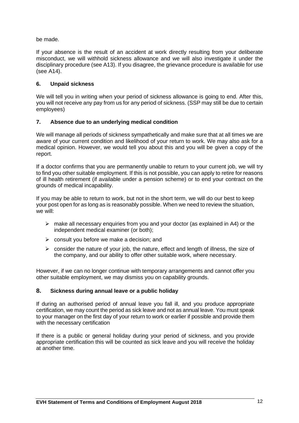be made.

If your absence is the result of an accident at work directly resulting from your deliberate misconduct, we will withhold sickness allowance and we will also investigate it under the disciplinary procedure (see A13). If you disagree, the grievance procedure is available for use (see A14).

# **6. Unpaid sickness**

We will tell you in writing when your period of sickness allowance is going to end. After this, you will not receive any pay from us for any period of sickness. (SSP may still be due to certain employees)

# **7. Absence due to an underlying medical condition**

We will manage all periods of sickness sympathetically and make sure that at all times we are aware of your current condition and likelihood of your return to work. We may also ask for a medical opinion. However, we would tell you about this and you will be given a copy of the report.

If a doctor confirms that you are permanently unable to return to your current job, we will try to find you other suitable employment. If this is not possible, you can apply to retire for reasons of ill health retirement (if available under a pension scheme) or to end your contract on the grounds of medical incapability.

If you may be able to return to work, but not in the short term, we will do our best to keep your post open for as long as is reasonably possible. When we need to review the situation, we will:

- $\triangleright$  make all necessary enquiries from you and your doctor (as explained in A4) or the independent medical examiner (or both);
- $\triangleright$  consult you before we make a decision; and
- $\triangleright$  consider the nature of your job, the nature, effect and length of illness, the size of the company, and our ability to offer other suitable work, where necessary.

However, if we can no longer continue with temporary arrangements and cannot offer you other suitable employment, we may dismiss you on capability grounds.

### **8. Sickness during annual leave or a public holiday**

If during an authorised period of annual leave you fall ill, and you produce appropriate certification, we may count the period as sick leave and not as annual leave. You must speak to your manager on the first day of your return to work or earlier if possible and provide them with the necessary certification

If there is a public or general holiday during your period of sickness, and you provide appropriate certification this will be counted as sick leave and you will receive the holiday at another time.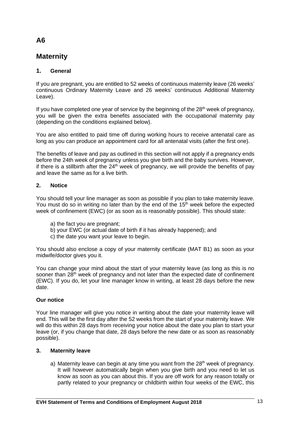# **Maternity**

# **1. General**

If you are pregnant, you are entitled to 52 weeks of continuous maternity leave (26 weeks' continuous Ordinary Maternity Leave and 26 weeks' continuous Additional Maternity Leave).

If you have completed one year of service by the beginning of the  $28<sup>th</sup>$  week of pregnancy, you will be given the extra benefits associated with the occupational maternity pay (depending on the conditions explained below).

You are also entitled to paid time off during working hours to receive antenatal care as long as you can produce an appointment card for all antenatal visits (after the first one).

The benefits of leave and pay as outlined in this section will not apply if a pregnancy ends before the 24th week of pregnancy unless you give birth and the baby survives. However, if there is a stillbirth after the  $24<sup>th</sup>$  week of pregnancy, we will provide the benefits of pay and leave the same as for a live birth.

# **2. Notice**

You should tell your line manager as soon as possible if you plan to take maternity leave. You must do so in writing no later than by the end of the  $15<sup>th</sup>$  week before the expected week of confinement (EWC) (or as soon as is reasonably possible). This should state:

- a) the fact you are pregnant;
- b) your EWC (or actual date of birth if it has already happened); and
- c) the date you want your leave to begin.

You should also enclose a copy of your maternity certificate (MAT B1) as soon as your midwife/doctor gives you it.

You can change your mind about the start of your maternity leave (as long as this is no sooner than 28<sup>th</sup> week of pregnancy and not later than the expected date of confinement (EWC). If you do, let your line manager know in writing, at least 28 days before the new date.

# **Our notice**

Your line manager will give you notice in writing about the date your maternity leave will end. This will be the first day after the 52 weeks from the start of your maternity leave. We will do this within 28 days from receiving your notice about the date you plan to start your leave (or, if you change that date, 28 days before the new date or as soon as reasonably possible).

# **3. Maternity leave**

a) Maternity leave can begin at any time you want from the  $28<sup>th</sup>$  week of pregnancy. It will however automatically begin when you give birth and you need to let us know as soon as you can about this. If you are off work for any reason totally or partly related to your pregnancy or childbirth within four weeks of the EWC, this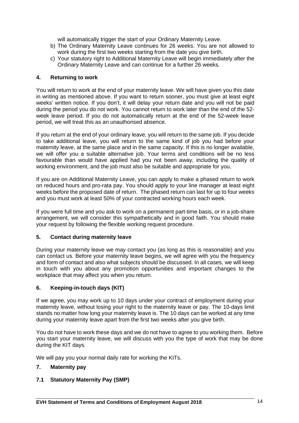will automatically trigger the start of your Ordinary Maternity Leave.

- b) The Ordinary Maternity Leave continues for 26 weeks. You are not allowed to work during the first two weeks starting from the date you give birth.
- c) Your statutory right to Additional Maternity Leave will begin immediately after the Ordinary Maternity Leave and can continue for a further 26 weeks.

#### **4. Returning to work**

You will return to work at the end of your maternity leave. We will have given you this date in writing as mentioned above. If you want to return sooner, you must give at least eight weeks' written notice. If you don't, it will delay your return date and you will not be paid during the period you do not work. You cannot return to work later than the end of the 52 week leave period. If you do not automatically return at the end of the 52-week leave period, we will treat this as an unauthorised absence.

If you return at the end of your ordinary leave, you will return to the same job. If you decide to take additional leave, you will return to the same kind of job you had before your maternity leave, at the same place and in the same capacity. If this is no longer available, we will offer you a suitable alternative job. Your terms and conditions will be no less favourable than would have applied had you not been away, including the quality of working environment, and the job must also be suitable and appropriate for you.

If you are on Additional Maternity Leave, you can apply to make a phased return to work on reduced hours and pro-rata pay. You should apply to your line manager at least eight weeks before the proposed date of return. The phased return can last for up to four weeks and you must work at least 50% of your contracted working hours each week.

If you were full time and you ask to work on a permanent part-time basis, or in a job-share arrangement, we will consider this sympathetically and in good faith. You should make your request by following the flexible working request procedure.

### **5. Contact during maternity leave**

During your maternity leave we may contact you (as long as this is reasonable) and you can contact us. Before your maternity leave begins, we will agree with you the frequency and form of contact and also what subjects should be discussed. In all cases, we will keep in touch with you about any promotion opportunities and important changes to the workplace that may affect you when you return.

#### **6. Keeping-in-touch days (KIT)**

If we agree, you may work up to 10 days under your contract of employment during your maternity leave, without losing your right to the maternity leave or pay. The 10-days limit stands no matter how long your maternity leave is. The 10 days can be worked at any time during your maternity leave apart from the first two weeks after you give birth.

You do not have to work these days and we do not have to agree to you working them. Before you start your maternity leave, we will discuss with you the type of work that may be done during the KIT days.

We will pay you your normal daily rate for working the KITs.

### **7. Maternity pay**

### **7.1 Statutory Maternity Pay (SMP)**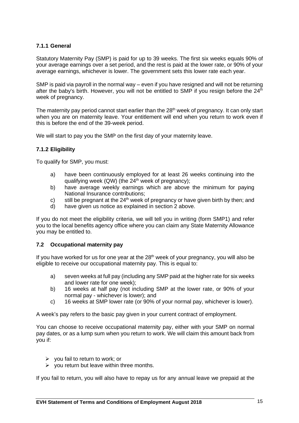# **7.1.1 General**

Statutory Maternity Pay (SMP) is paid for up to 39 weeks. The first six weeks equals 90% of your average earnings over a set period, and the rest is paid at the lower rate, or 90% of your average earnings, whichever is lower. The government sets this lower rate each year.

SMP is paid via payroll in the normal way – even if you have resigned and will not be returning after the baby's birth. However, you will not be entitled to SMP if you resign before the  $24<sup>th</sup>$ week of pregnancy.

The maternity pay period cannot start earlier than the 28<sup>th</sup> week of pregnancy. It can only start when you are on maternity leave. Your entitlement will end when you return to work even if this is before the end of the 39-week period.

We will start to pay you the SMP on the first day of your maternity leave.

### **7.1.2 Eligibility**

To qualify for SMP, you must:

- a) have been continuously employed for at least 26 weeks continuing into the qualifying week (QW) (the 24<sup>th</sup> week of pregnancy);
- b) have average weekly earnings which are above the minimum for paying National Insurance contributions;
- c) still be pregnant at the  $24<sup>th</sup>$  week of pregnancy or have given birth by then; and
- d) have given us notice as explained in section 2 above.

If you do not meet the eligibility criteria, we will tell you in writing (form SMP1) and refer you to the local benefits agency office where you can claim any State Maternity Allowance you may be entitled to.

### **7.2 Occupational maternity pay**

If you have worked for us for one year at the  $28<sup>th</sup>$  week of your pregnancy, you will also be eligible to receive our occupational maternity pay. This is equal to:

- a) seven weeks at full pay (including any SMP paid at the higher rate for six weeks and lower rate for one week);
- b) 16 weeks at half pay (not including SMP at the lower rate, or 90% of your normal pay - whichever is lower); and
- c) 16 weeks at SMP lower rate (or 90% of your normal pay, whichever is lower).

A week's pay refers to the basic pay given in your current contract of employment.

You can choose to receive occupational maternity pay, either with your SMP on normal pay dates, or as a lump sum when you return to work. We will claim this amount back from you if:

- $\triangleright$  you fail to return to work; or
- $\triangleright$  you return but leave within three months.

If you fail to return, you will also have to repay us for any annual leave we prepaid at the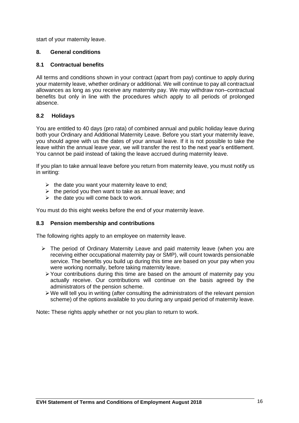start of your maternity leave.

### **8. General conditions**

### **8.1 Contractual benefits**

All terms and conditions shown in your contract (apart from pay) continue to apply during your maternity leave, whether ordinary or additional. We will continue to pay all contractual allowances as long as you receive any maternity pay. We may withdraw non–contractual benefits but only in line with the procedures which apply to all periods of prolonged absence.

### **8.2 Holidays**

You are entitled to 40 days (pro rata) of combined annual and public holiday leave during both your Ordinary and Additional Maternity Leave. Before you start your maternity leave, you should agree with us the dates of your annual leave. If it is not possible to take the leave within the annual leave year, we will transfer the rest to the next year's entitlement. You cannot be paid instead of taking the leave accrued during maternity leave.

If you plan to take annual leave before you return from maternity leave, you must notify us in writing:

- $\triangleright$  the date you want your maternity leave to end;
- $\triangleright$  the period you then want to take as annual leave; and
- $\triangleright$  the date you will come back to work.

You must do this eight weeks before the end of your maternity leave.

### **8.3 Pension membership and contributions**

The following rights apply to an employee on maternity leave.

- ➢ The period of Ordinary Maternity Leave and paid maternity leave (when you are receiving either occupational maternity pay or SMP), will count towards pensionable service. The benefits you build up during this time are based on your pay when you were working normally, before taking maternity leave.
	- ➢Your contributions during this time are based on the amount of maternity pay you actually receive. Our contributions will continue on the basis agreed by the administrators of the pension scheme.
	- $\triangleright$  We will tell you in writing (after consulting the administrators of the relevant pension scheme) of the options available to you during any unpaid period of maternity leave.

Note**:** These rights apply whether or not you plan to return to work.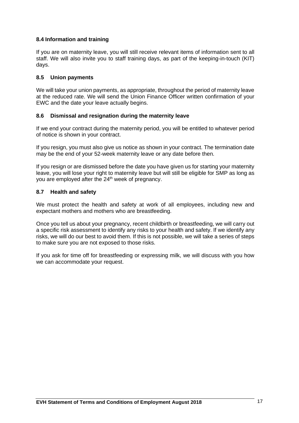### **8.4 Information and training**

If you are on maternity leave, you will still receive relevant items of information sent to all staff. We will also invite you to staff training days, as part of the keeping-in-touch (KIT) days.

### **8.5 Union payments**

We will take your union payments, as appropriate, throughout the period of maternity leave at the reduced rate. We will send the Union Finance Officer written confirmation of your EWC and the date your leave actually begins.

### **8.6 Dismissal and resignation during the maternity leave**

If we end your contract during the maternity period, you will be entitled to whatever period of notice is shown in your contract.

If you resign, you must also give us notice as shown in your contract. The termination date may be the end of your 52-week maternity leave or any date before then.

If you resign or are dismissed before the date you have given us for starting your maternity leave, you will lose your right to maternity leave but will still be eligible for SMP as long as you are employed after the 24<sup>th</sup> week of pregnancy.

### **8.7 Health and safety**

We must protect the health and safety at work of all employees, including new and expectant mothers and mothers who are breastfeeding.

Once you tell us about your pregnancy, recent childbirth or breastfeeding, we will carry out a specific risk assessment to identify any risks to your health and safety. If we identify any risks, we will do our best to avoid them. If this is not possible, we will take a series of steps to make sure you are not exposed to those risks.

If you ask for time off for breastfeeding or expressing milk, we will discuss with you how we can accommodate your request.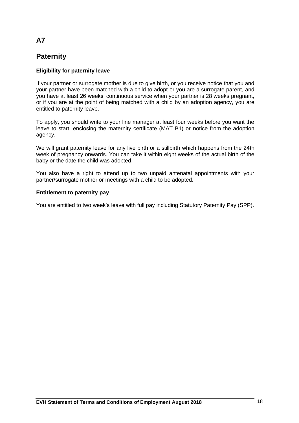# **Paternity**

# **Eligibility for paternity leave**

If your partner or surrogate mother is due to give birth, or you receive notice that you and your partner have been matched with a child to adopt or you are a surrogate parent, and you have at least 26 weeks' continuous service when your partner is 28 weeks pregnant, or if you are at the point of being matched with a child by an adoption agency, you are entitled to paternity leave.

To apply, you should write to your line manager at least four weeks before you want the leave to start, enclosing the maternity certificate (MAT B1) or notice from the adoption agency.

We will grant paternity leave for any live birth or a stillbirth which happens from the 24th week of pregnancy onwards. You can take it within eight weeks of the actual birth of the baby or the date the child was adopted.

You also have a right to attend up to two unpaid antenatal appointments with your partner/surrogate mother or meetings with a child to be adopted.

### **Entitlement to paternity pay**

You are entitled to two week's leave with full pay including Statutory Paternity Pay (SPP).

# **A7**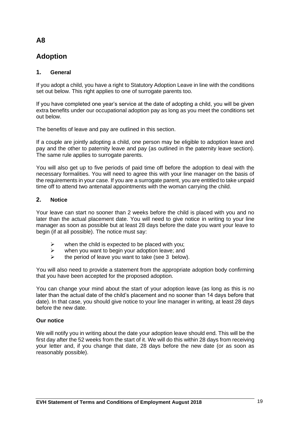# **Adoption**

# **1. General**

If you adopt a child, you have a right to Statutory Adoption Leave in line with the conditions set out below. This right applies to one of surrogate parents too.

If you have completed one year's service at the date of adopting a child, you will be given extra benefits under our occupational adoption pay as long as you meet the conditions set out below.

The benefits of leave and pay are outlined in this section.

If a couple are jointly adopting a child, one person may be eligible to adoption leave and pay and the other to paternity leave and pay (as outlined in the paternity leave section). The same rule applies to surrogate parents.

You will also get up to five periods of paid time off before the adoption to deal with the necessary formalities. You will need to agree this with your line manager on the basis of the requirements in your case. If you are a surrogate parent, you are entitled to take unpaid time off to attend two antenatal appointments with the woman carrying the child.

# **2. Notice**

Your leave can start no sooner than 2 weeks before the child is placed with you and no later than the actual placement date. You will need to give notice in writing to your line manager as soon as possible but at least 28 days before the date you want your leave to begin (if at all possible). The notice must say:

- $\triangleright$  when the child is expected to be placed with you;
- $\triangleright$  when you want to begin your adoption leave; and  $\triangleright$  the period of leave you want to take (see 3 helow
- the period of leave you want to take (see 3 below).

You will also need to provide a statement from the appropriate adoption body confirming that you have been accepted for the proposed adoption.

You can change your mind about the start of your adoption leave (as long as this is no later than the actual date of the child's placement and no sooner than 14 days before that date). In that case, you should give notice to your line manager in writing, at least 28 days before the new date.

# **Our notice**

We will notify you in writing about the date your adoption leave should end. This will be the first day after the 52 weeks from the start of it. We will do this within 28 days from receiving your letter and, if you change that date, 28 days before the new date (or as soon as reasonably possible).

# **A8**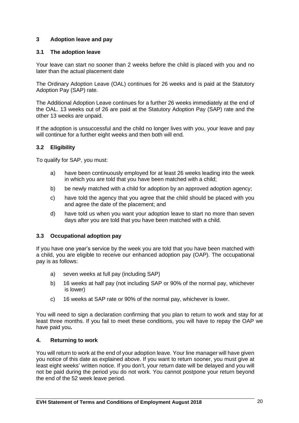# **3 Adoption leave and pay**

### **3.1 The adoption leave**

Your leave can start no sooner than 2 weeks before the child is placed with you and no later than the actual placement date

The Ordinary Adoption Leave (OAL) continues for 26 weeks and is paid at the Statutory Adoption Pay (SAP) rate.

The Additional Adoption Leave continues for a further 26 weeks immediately at the end of the OAL. 13 weeks out of 26 are paid at the Statutory Adoption Pay (SAP) rate and the other 13 weeks are unpaid.

If the adoption is unsuccessful and the child no longer lives with you, your leave and pay will continue for a further eight weeks and then both will end.

### **3.2 Eligibility**

To qualify for SAP, you must:

- a) have been continuously employed for at least 26 weeks leading into the week in which you are told that you have been matched with a child;
- b) be newly matched with a child for adoption by an approved adoption agency;
- c) have told the agency that you agree that the child should be placed with you and agree the date of the placement; and
- d) have told us when you want your adoption leave to start no more than seven days after you are told that you have been matched with a child.

### **3.3 Occupational adoption pay**

If you have one year's service by the week you are told that you have been matched with a child, you are eligible to receive our enhanced adoption pay (OAP). The occupational pay is as follows:

- a) seven weeks at full pay (including SAP)
- b) 16 weeks at half pay (not including SAP or 90% of the normal pay, whichever is lower)
- c) 16 weeks at SAP rate or 90% of the normal pay, whichever is lower.

You will need to sign a declaration confirming that you plan to return to work and stay for at least three months. If you fail to meet these conditions, you will have to repay the OAP we have paid you**.**

### **4. Returning to work**

You will return to work at the end of your adoption leave. Your line manager will have given you notice of this date as explained above. If you want to return sooner, you must give at least eight weeks' written notice. If you don't, your return date will be delayed and you will not be paid during the period you do not work. You cannot postpone your return beyond the end of the 52 week leave period.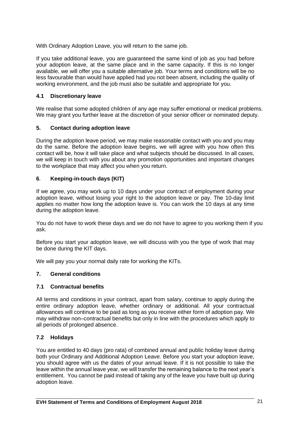With Ordinary Adoption Leave, you will return to the same job.

If you take additional leave, you are guaranteed the same kind of job as you had before your adoption leave, at the same place and in the same capacity. If this is no longer available, we will offer you a suitable alternative job. Your terms and conditions will be no less favourable than would have applied had you not been absent, including the quality of working environment, and the job must also be suitable and appropriate for you.

### **4.1 Discretionary leave**

We realise that some adopted children of any age may suffer emotional or medical problems. We may grant you further leave at the discretion of your senior officer or nominated deputy.

### **5. Contact during adoption leave**

During the adoption leave period, we may make reasonable contact with you and you may do the same. Before the adoption leave begins, we will agree with you how often this contact will be, how it will take place and what subjects should be discussed. In all cases, we will keep in touch with you about any promotion opportunities and important changes to the workplace that may affect you when you return.

### **6**. **Keeping-in-touch days (KIT)**

If we agree, you may work up to 10 days under your contract of employment during your adoption leave, without losing your right to the adoption leave or pay. The 10-day limit applies no matter how long the adoption leave is. You can work the 10 days at any time during the adoption leave.

You do not have to work these days and we do not have to agree to you working them if you ask.

Before you start your adoption leave, we will discuss with you the type of work that may be done during the KIT days.

We will pay you your normal daily rate for working the KITs.

### **7. General conditions**

### **7.1 Contractual benefits**

All terms and conditions in your contract, apart from salary, continue to apply during the entire ordinary adoption leave, whether ordinary or additional. All your contractual allowances will continue to be paid as long as you receive either form of adoption pay. We may withdraw non–contractual benefits but only in line with the procedures which apply to all periods of prolonged absence.

### **7.2 Holidays**

You are entitled to 40 days (pro rata) of combined annual and public holiday leave during both your Ordinary and Additional Adoption Leave. Before you start your adoption leave, you should agree with us the dates of your annual leave. If it is not possible to take the leave within the annual leave year, we will transfer the remaining balance to the next year's entitlement. You cannot be paid instead of taking any of the leave you have built up during adoption leave.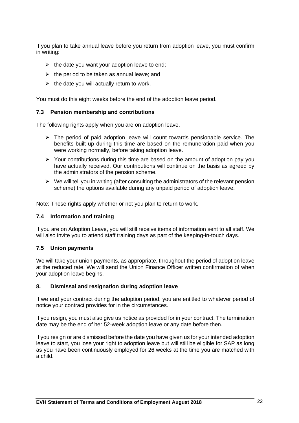If you plan to take annual leave before you return from adoption leave, you must confirm in writing:

- $\triangleright$  the date you want your adoption leave to end;
- $\triangleright$  the period to be taken as annual leave; and
- $\triangleright$  the date you will actually return to work.

You must do this eight weeks before the end of the adoption leave period.

### **7.3 Pension membership and contributions**

The following rights apply when you are on adoption leave.

- $\triangleright$  The period of paid adoption leave will count towards pensionable service. The benefits built up during this time are based on the remuneration paid when you were working normally, before taking adoption leave.
- ➢ Your contributions during this time are based on the amount of adoption pay you have actually received. Our contributions will continue on the basis as agreed by the administrators of the pension scheme.
- $\triangleright$  We will tell you in writing (after consulting the administrators of the relevant pension scheme) the options available during any unpaid period of adoption leave.

Note: These rights apply whether or not you plan to return to work.

### **7.4 Information and training**

If you are on Adoption Leave, you will still receive items of information sent to all staff. We will also invite you to attend staff training days as part of the keeping-in-touch days.

### **7.5 Union payments**

We will take your union payments, as appropriate, throughout the period of adoption leave at the reduced rate. We will send the Union Finance Officer written confirmation of when your adoption leave begins.

### **8. Dismissal and resignation during adoption leave**

If we end your contract during the adoption period, you are entitled to whatever period of notice your contract provides for in the circumstances.

If you resign, you must also give us notice as provided for in your contract. The termination date may be the end of her 52-week adoption leave or any date before then.

If you resign or are dismissed before the date you have given us for your intended adoption leave to start, you lose your right to adoption leave but will still be eligible for SAP as long as you have been continuously employed for 26 weeks at the time you are matched with a child.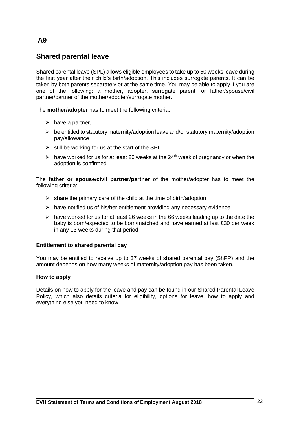# **Shared parental leave**

Shared parental leave (SPL) allows eligible employees to take up to 50 weeks leave during the first year after their child's birth/adoption. This includes surrogate parents. It can be taken by both parents separately or at the same time. You may be able to apply if you are one of the following: a mother, adopter, surrogate parent, or father/spouse/civil partner/partner of the mother/adopter/surrogate mother.

The **mother/adopter** has to meet the following criteria:

- $\triangleright$  have a partner,
- $\triangleright$  be entitled to statutory maternity/adoption leave and/or statutory maternity/adoption pay/allowance
- $\triangleright$  still be working for us at the start of the SPL
- $\triangleright$  have worked for us for at least 26 weeks at the 24<sup>th</sup> week of pregnancy or when the adoption is confirmed

The **father or spouse/civil partner/partner** of the mother/adopter has to meet the following criteria:

- $\triangleright$  share the primary care of the child at the time of birth/adoption
- $\triangleright$  have notified us of his/her entitlement providing any necessary evidence
- $\triangleright$  have worked for us for at least 26 weeks in the 66 weeks leading up to the date the baby is born/expected to be born/matched and have earned at last £30 per week in any 13 weeks during that period.

### **Entitlement to shared parental pay**

You may be entitled to receive up to 37 weeks of shared parental pay (ShPP) and the amount depends on how many weeks of maternity/adoption pay has been taken.

### **How to apply**

Details on how to apply for the leave and pay can be found in our Shared Parental Leave Policy, which also details criteria for eligibility, options for leave, how to apply and everything else you need to know.

# **A9**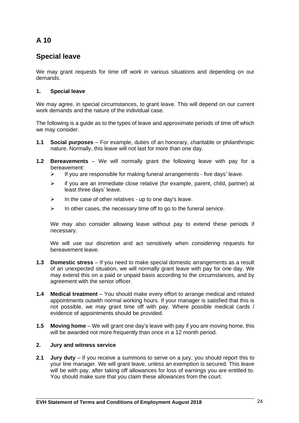# **Special leave**

We may grant requests for time off work in various situations and depending on our demands.

# **1. Special leave**

We may agree, in special circumstances, to grant leave. This will depend on our current work demands and the nature of the individual case.

The following is a guide as to the types of leave and approximate periods of time off which we may consider.

- **1.1 Social purposes** For example, duties of an honorary, charitable or philanthropic nature. Normally, this leave will not last for more than one day.
- **1.2 Bereavements**  We will normally grant the following leave with pay for a bereavement:
	- $\triangleright$  If you are responsible for making funeral arrangements five days' leave.
	- $\triangleright$  if you are an immediate close relative (for example, parent, child, partner) at least three days' leave.
	- $\triangleright$  In the case of other relatives up to one day's leave.
	- $\triangleright$  In other cases, the necessary time off to go to the funeral service.

We may also consider allowing leave without pay to extend these periods if necessary.

We will use our discretion and act sensitively when considering requests for bereavement leave.

- **1.3 Domestic stress**  If you need to make special domestic arrangements as a result of an unexpected situation, we will normally grant leave with pay for one day. We may extend this on a paid or unpaid basis according to the circumstances, and by agreement with the senior officer.
- **1.4 Medical treatment** You should make every effort to arrange medical and related appointments outwith normal working hours. If your manager is satisfied that this is not possible, we may grant time off with pay. Where possible medical cards / evidence of appointments should be provided.
- **1.5 Moving home** We will grant one day's leave with pay if you are moving home, this will be awarded not more frequently than once in a 12 month period.

### **2. Jury and witness service**

**2.1 Jury duty** – If you receive a summons to serve on a jury, you should report this to your line manager. We will grant leave, unless an exemption is secured. This leave will be with pay, after taking off allowances for loss of earnings you are entitled to. You should make sure that you claim these allowances from the court.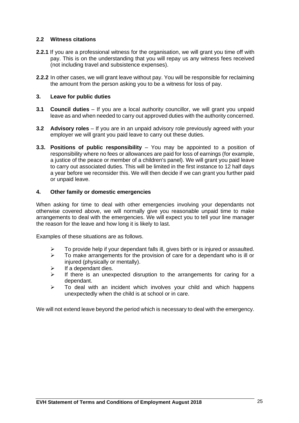### **2.2 Witness citations**

- **2.2.1** If you are a professional witness for the organisation, we will grant you time off with pay. This is on the understanding that you will repay us any witness fees received (not including travel and subsistence expenses).
- **2.2.2** In other cases, we will grant leave without pay. You will be responsible for reclaiming the amount from the person asking you to be a witness for loss of pay.

### **3. Leave for public duties**

- **3.1 Council duties** If you are a local authority councillor, we will grant you unpaid leave as and when needed to carry out approved duties with the authority concerned.
- **3.2 Advisory roles**  If you are in an unpaid advisory role previously agreed with your employer we will grant you paid leave to carry out these duties.
- **3.3. Positions of public responsibility** You may be appointed to a position of responsibility where no fees or allowances are paid for loss of earnings (for example, a justice of the peace or member of a children's panel). We will grant you paid leave to carry out associated duties. This will be limited in the first instance to 12 half days a year before we reconsider this. We will then decide if we can grant you further paid or unpaid leave.

#### **4. Other family or domestic emergencies**

When asking for time to deal with other emergencies involving your dependants not otherwise covered above, we will normally give you reasonable unpaid time to make arrangements to deal with the emergencies. We will expect you to tell your line manager the reason for the leave and how long it is likely to last.

Examples of these situations are as follows.

- $\triangleright$  To provide help if your dependant falls ill, gives birth or is injured or assaulted.
- $\triangleright$  To make arrangements for the provision of care for a dependant who is ill or injured (physically or mentally).
- $\triangleright$  If a dependant dies.
- $\triangleright$  If there is an unexpected disruption to the arrangements for caring for a dependant.
- $\triangleright$  To deal with an incident which involves your child and which happens unexpectedly when the child is at school or in care.

We will not extend leave beyond the period which is necessary to deal with the emergency.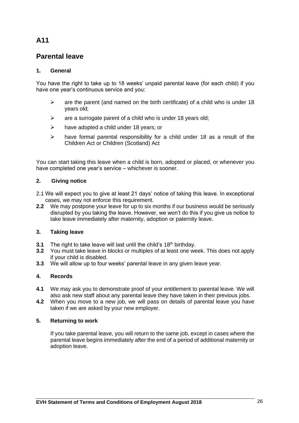# **Parental leave**

### **1. General**

You have the right to take up to 18 weeks' unpaid parental leave (for each child) if you have one year's continuous service and you:

- $\triangleright$  are the parent (and named on the birth certificate) of a child who is under 18 years old;
- $\triangleright$  are a surrogate parent of a child who is under 18 years old;
- $\triangleright$  have adopted a child under 18 years; or
- $\triangleright$  have formal parental responsibility for a child under 18 as a result of the Children Act or Children (Scotland) Act

You can start taking this leave when a child is born, adopted or placed, or whenever you have completed one year's service – whichever is sooner.

### **2. Giving notice**

- 2.1 We will expect you to give at least 21 days' notice of taking this leave. In exceptional cases, we may not enforce this requirement.
- **2.2** We may postpone your leave for up to six months if our business would be seriously disrupted by you taking the leave. However, we won't do this if you give us notice to take leave immediately after maternity, adoption or paternity leave.

### **3. Taking leave**

- **3.1** The right to take leave will last until the child's 18<sup>th</sup> birthday.<br>**3.2** You must take leave in blocks or multiples of at least one we
- **3.2** You must take leave in blocks or multiples of at least one week. This does not apply if your child is disabled.
- **3.3** We will allow up to four weeks' parental leave in any given leave year.

### **4. Records**

- **4.1** We may ask you to demonstrate proof of your entitlement to parental leave. We will also ask new staff about any parental leave they have taken in their previous jobs.
- **4.2** When you move to a new job, we will pass on details of parental leave you have taken if we are asked by your new employer.

### **5. Returning to work**

If you take parental leave, you will return to the same job, except in cases where the parental leave begins immediately after the end of a period of additional maternity or adoption leave.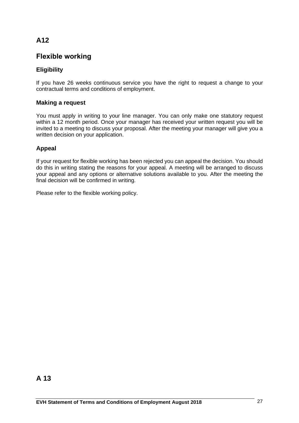# **Flexible working**

# **Eligibility**

If you have 26 weeks continuous service you have the right to request a change to your contractual terms and conditions of employment.

# **Making a request**

You must apply in writing to your line manager. You can only make one statutory request within a 12 month period. Once your manager has received your written request you will be invited to a meeting to discuss your proposal. After the meeting your manager will give you a written decision on your application.

# **Appeal**

If your request for flexible working has been rejected you can appeal the decision. You should do this in writing stating the reasons for your appeal. A meeting will be arranged to discuss your appeal and any options or alternative solutions available to you. After the meeting the final decision will be confirmed in writing.

Please refer to the flexible working policy.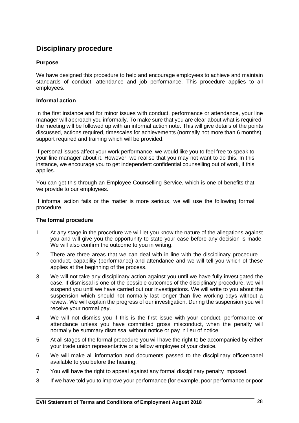# **Disciplinary procedure**

### **Purpose**

We have designed this procedure to help and encourage employees to achieve and maintain standards of conduct, attendance and job performance. This procedure applies to all employees.

### **Informal action**

In the first instance and for minor issues with conduct, performance or attendance, your line manager will approach you informally. To make sure that you are clear about what is required, the meeting will be followed up with an informal action note. This will give details of the points discussed, actions required, timescales for achievements (normally not more than 6 months), support required and training which will be provided.

If personal issues affect your work performance, we would like you to feel free to speak to your line manager about it. However, we realise that you may not want to do this. In this instance, we encourage you to get independent confidential counselling out of work, if this applies.

You can get this through an Employee Counselling Service, which is one of benefits that we provide to our employees.

If informal action fails or the matter is more serious, we will use the following formal procedure.

### **The formal procedure**

- 1 At any stage in the procedure we will let you know the nature of the allegations against you and will give you the opportunity to state your case before any decision is made. We will also confirm the outcome to you in writing.
- 2 There are three areas that we can deal with in line with the disciplinary procedure conduct, capability (performance) and attendance and we will tell you which of these applies at the beginning of the process.
- 3 We will not take any disciplinary action against you until we have fully investigated the case. If dismissal is one of the possible outcomes of the disciplinary procedure, we will suspend you until we have carried out our investigations. We will write to you about the suspension which should not normally last longer than five working days without a review. We will explain the progress of our investigation. During the suspension you will receive your normal pay.
- 4 We will not dismiss you if this is the first issue with your conduct, performance or attendance unless you have committed gross misconduct, when the penalty will normally be summary dismissal without notice or pay in lieu of notice.
- 5 At all stages of the formal procedure you will have the right to be accompanied by either your trade union representative or a fellow employee of your choice.
- 6 We will make all information and documents passed to the disciplinary officer/panel available to you before the hearing.
- 7 You will have the right to appeal against any formal disciplinary penalty imposed.
- 8 If we have told you to improve your performance (for example, poor performance or poor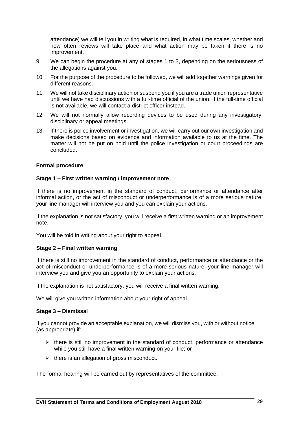attendance) we will tell you in writing what is required, in what time scales, whether and how often reviews will take place and what action may be taken if there is no improvement.

- 9 We can begin the procedure at any of stages 1 to 3, depending on the seriousness of the allegations against you.
- 10 For the purpose of the procedure to be followed, we will add together warnings given for different reasons.
- 11 We will not take disciplinary action or suspend you if you are a trade union representative until we have had discussions with a full-time official of the union. If the full-time official is not available, we will contact a district officer instead.
- 12 We will not normally allow recording devices to be used during any investigatory, disciplinary or appeal meetings.
- 13 If there is police involvement or investigation, we will carry out our own investigation and make decisions based on evidence and information available to us at the time. The matter will not be put on hold until the police investigation or court proceedings are concluded.

### **Formal procedure**

#### **Stage 1 – First written warning / improvement note**

If there is no improvement in the standard of conduct, performance or attendance after informal action, or the act of misconduct or underperformance is of a more serious nature, your line manager will interview you and you can explain your actions.

If the explanation is not satisfactory, you will receive a first written warning or an improvement note.

You will be told in writing about your right to appeal.

#### **Stage 2 – Final written warning**

If there is still no improvement in the standard of conduct, performance or attendance or the act of misconduct or underperformance is of a more serious nature, your line manager will interview you and give you an opportunity to explain your actions.

If the explanation is not satisfactory, you will receive a final written warning.

We will give you written information about your right of appeal.

#### **Stage 3** *–* **Dismissal**

If you cannot provide an acceptable explanation, we will dismiss you, with or without notice (as appropriate) if:

- $\triangleright$  there is still no improvement in the standard of conduct, performance or attendance while you still have a final written warning on your file; or
- $\triangleright$  there is an allegation of gross misconduct.

The formal hearing will be carried out by representatives of the committee.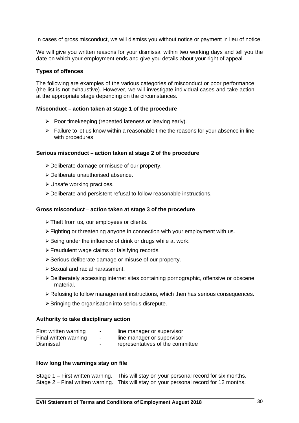In cases of gross misconduct, we will dismiss you without notice or payment in lieu of notice.

We will give you written reasons for your dismissal within two working days and tell you the date on which your employment ends and give you details about your right of appeal.

### **Types of offences**

The following are examples of the various categories of misconduct or poor performance (the list is not exhaustive). However, we will investigate individual cases and take action at the appropriate stage depending on the circumstances.

#### **Misconduct** *–* **action taken at stage 1 of the procedure**

- ➢ Poor timekeeping (repeated lateness or leaving early).
- $\triangleright$  Failure to let us know within a reasonable time the reasons for your absence in line with procedures.

#### **Serious misconduct** *–* **action taken at stage 2 of the procedure**

- ➢Deliberate damage or misuse of our property.
- ➢Deliberate unauthorised absence.
- ➢Unsafe working practices.
- ➢Deliberate and persistent refusal to follow reasonable instructions.

#### **Gross misconduct** *–* **action taken at stage 3 of the procedure**

- ➢Theft from us, our employees or clients.
- ➢Fighting or threatening anyone in connection with your employment with us.
- $\triangleright$  Being under the influence of drink or drugs while at work.
- ➢Fraudulent wage claims or falsifying records.
- ➢Serious deliberate damage or misuse of our property.
- ➢Sexual and racial harassment.
- ➢Deliberately accessing internet sites containing pornographic, offensive or obscene material.
- $\triangleright$  Refusing to follow management instructions, which then has serious consequences.
- $\triangleright$  Bringing the organisation into serious disrepute.

#### **Authority to take disciplinary action**

| First written warning | $\overline{\phantom{a}}$ | line manager or supervisor       |
|-----------------------|--------------------------|----------------------------------|
| Final written warning | ۰.                       | line manager or supervisor       |
| Dismissal             | -                        | representatives of the committee |

#### **How long the warnings stay on file**

Stage 1 – First written warning. This will stay on your personal record for six months. Stage 2 *–* Final written warning. This will stay on your personal record for 12 months.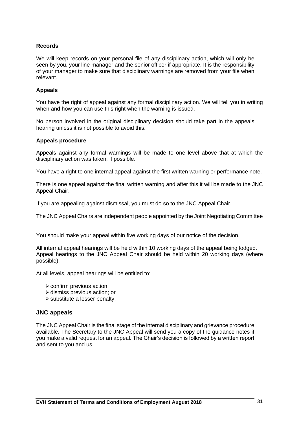### **Records**

We will keep records on your personal file of any disciplinary action, which will only be seen by you, your line manager and the senior officer if appropriate. It is the responsibility of your manager to make sure that disciplinary warnings are removed from your file when relevant.

#### **Appeals**

You have the right of appeal against any formal disciplinary action. We will tell you in writing when and how you can use this right when the warning is issued.

No person involved in the original disciplinary decision should take part in the appeals hearing unless it is not possible to avoid this.

#### **Appeals procedure**

Appeals against any formal warnings will be made to one level above that at which the disciplinary action was taken, if possible.

You have a right to one internal appeal against the first written warning or performance note.

There is one appeal against the final written warning and after this it will be made to the JNC Appeal Chair.

If you are appealing against dismissal, you must do so to the JNC Appeal Chair.

The JNC Appeal Chairs are independent people appointed by the Joint Negotiating Committee .

You should make your appeal within five working days of our notice of the decision.

All internal appeal hearings will be held within 10 working days of the appeal being lodged. Appeal hearings to the JNC Appeal Chair should be held within 20 working days (where possible).

At all levels, appeal hearings will be entitled to:

- $\triangleright$  confirm previous action;
- $\triangleright$  dismiss previous action; or
- ➢substitute a lesser penalty.

### **JNC appeals**

The JNC Appeal Chair is the final stage of the internal disciplinary and grievance procedure available. The Secretary to the JNC Appeal will send you a copy of the guidance notes if you make a valid request for an appeal. The Chair's decision is followed by a written report and sent to you and us.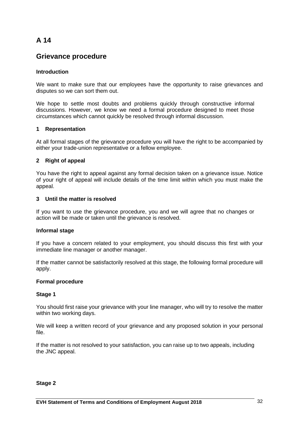# **Grievance procedure**

### **Introduction**

We want to make sure that our employees have the opportunity to raise grievances and disputes so we can sort them out.

We hope to settle most doubts and problems quickly through constructive informal discussions. However, we know we need a formal procedure designed to meet those circumstances which cannot quickly be resolved through informal discussion.

#### **1 Representation**

At all formal stages of the grievance procedure you will have the right to be accompanied by either your trade-union representative or a fellow employee.

### **2 Right of appeal**

You have the right to appeal against any formal decision taken on a grievance issue. Notice of your right of appeal will include details of the time limit within which you must make the appeal.

#### **3 Until the matter is resolved**

If you want to use the grievance procedure, you and we will agree that no changes or action will be made or taken until the grievance is resolved.

### **Informal stage**

If you have a concern related to your employment, you should discuss this first with your immediate line manager or another manager.

If the matter cannot be satisfactorily resolved at this stage, the following formal procedure will apply.

### **Formal procedure**

### **Stage 1**

You should first raise your grievance with your line manager, who will try to resolve the matter within two working days.

We will keep a written record of your grievance and any proposed solution in your personal file.

If the matter is not resolved to your satisfaction, you can raise up to two appeals, including the JNC appeal.

#### **Stage 2**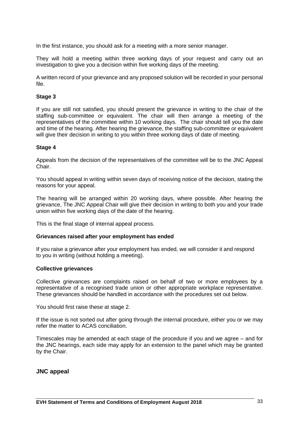In the first instance, you should ask for a meeting with a more senior manager.

They will hold a meeting within three working days of your request and carry out an investigation to give you a decision within five working days of the meeting.

A written record of your grievance and any proposed solution will be recorded in your personal file.

#### **Stage 3**

If you are still not satisfied, you should present the grievance in writing to the chair of the staffing sub-committee or equivalent. The chair will then arrange a meeting of the representatives of the committee within 10 working days. The chair should tell you the date and time of the hearing. After hearing the grievance, the staffing sub-committee or equivalent will give their decision in writing to you within three working days of date of meeting.

#### **Stage 4**

Appeals from the decision of the representatives of the committee will be to the JNC Appeal Chair.

You should appeal in writing within seven days of receiving notice of the decision, stating the reasons for your appeal.

The hearing will be arranged within 20 working days, where possible. After hearing the grievance, The JNC Appeal Chair will give their decision in writing to both you and your trade union within five working days of the date of the hearing.

This is the final stage of internal appeal process.

#### **Grievances raised after your employment has ended**

If you raise a grievance after your employment has ended, we will consider it and respond to you in writing (without holding a meeting).

#### **Collective grievances**

Collective grievances are complaints raised on behalf of two or more employees by a representative of a recognised trade union or other appropriate workplace representative. These grievances should be handled in accordance with the procedures set out below.

You should first raise these at stage 2.

If the issue is not sorted out after going through the internal procedure, either you or we may refer the matter to ACAS conciliation.

Timescales may be amended at each stage of the procedure if you and we agree – and for the JNC hearings, each side may apply for an extension to the panel which may be granted by the Chair.

#### **JNC appeal**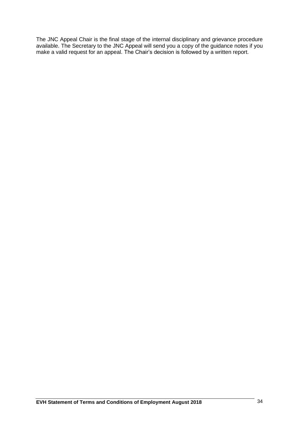The JNC Appeal Chair is the final stage of the internal disciplinary and grievance procedure available. The Secretary to the JNC Appeal will send you a copy of the guidance notes if you make a valid request for an appeal. The Chair's decision is followed by a written report.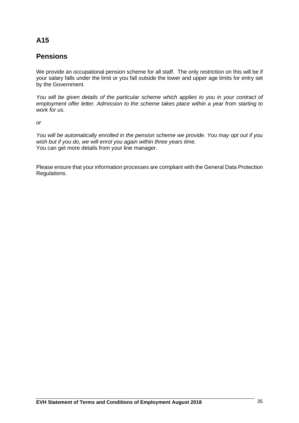# **Pensions**

We provide an occupational pension scheme for all staff. The only restriction on this will be if your salary falls under the limit or you fall outside the lower and upper age limits for entry set by the Government.

*You will be given details of the particular scheme which applies to you in your contract of employment offer letter. Admission to the scheme takes place within a year from starting to work for us.*

*or*

*You will be automatically enrolled in the pension scheme we provide. You may opt out if you wish but if you do, we will enrol you again within three years time.*  You can get more details from your line manager.

Please ensure that your information processes are compliant with the General Data Protection Regulations.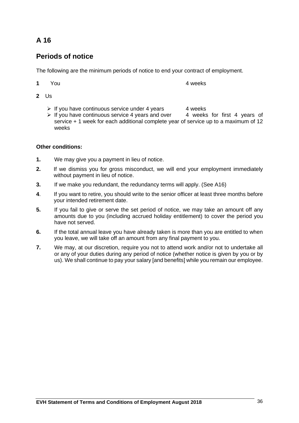# **Periods of notice**

The following are the minimum periods of notice to end your contract of employment.

| $\mathbf 1$ | You | 4 weeks |
|-------------|-----|---------|
|             |     |         |

- **2** Us
	- $\triangleright$  If you have continuous service under 4 years 4 weeks
	- $\triangleright$  If you have continuous service 4 years and over 4 weeks for first 4 years of service + 1 week for each additional complete year of service up to a maximum of 12 weeks

# **Other conditions:**

- **1.** We may give you a payment in lieu of notice.
- **2.** If we dismiss you for gross misconduct, we will end your employment immediately without payment in lieu of notice.
- **3.** If we make you redundant, the redundancy terms will apply. (See A16)
- **4**. If you want to retire, you should write to the senior officer at least three months before your intended retirement date.
- **5.** If you fail to give or serve the set period of notice, we may take an amount off any amounts due to you (including accrued holiday entitlement) to cover the period you have not served.
- **6.** If the total annual leave you have already taken is more than you are entitled to when you leave, we will take off an amount from any final payment to you.
- **7.** We may, at our discretion, require you not to attend work and/or not to undertake all or any of your duties during any period of notice (whether notice is given by you or by us). We shall continue to pay your salary [and benefits] while you remain our employee.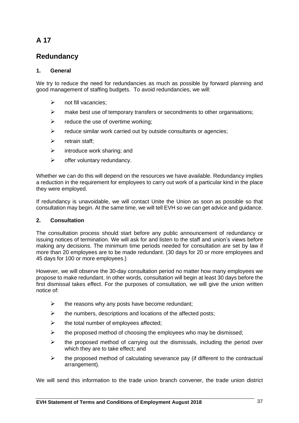# **Redundancy**

# **1. General**

We try to reduce the need for redundancies as much as possible by forward planning and good management of staffing budgets. To avoid redundancies, we will:

- $\triangleright$  not fill vacancies:
- $\triangleright$  make best use of temporary transfers or secondments to other organisations;
- $\triangleright$  reduce the use of overtime working;
- $\triangleright$  reduce similar work carried out by outside consultants or agencies;
- ➢ retrain staff;
- $\triangleright$  introduce work sharing; and
- $\triangleright$  offer voluntary redundancy.

Whether we can do this will depend on the resources we have available. Redundancy implies a reduction in the requirement for employees to carry out work of a particular kind in the place they were employed.

If redundancy is unavoidable, we will contact Unite the Union as soon as possible so that consultation may begin. At the same time, we will tell EVH so we can get advice and guidance.

# **2. Consultation**

The consultation process should start before any public announcement of redundancy or issuing notices of termination. We will ask for and listen to the staff and union's views before making any decisions. The minimum time periods needed for consultation are set by law if more than 20 employees are to be made redundant. (30 days for 20 or more employees and 45 days for 100 or more employees.)

However, we will observe the 30-day consultation period no matter how many employees we propose to make redundant. In other words, consultation will begin at least 30 days before the first dismissal takes effect. For the purposes of consultation, we will give the union written notice of:

- $\triangleright$  the reasons why any posts have become redundant;
- $\triangleright$  the numbers, descriptions and locations of the affected posts;
- $\triangleright$  the total number of employees affected;
- $\triangleright$  the proposed method of choosing the employees who may be dismissed;
- $\triangleright$  the proposed method of carrying out the dismissals, including the period over which they are to take effect; and
- $\triangleright$  the proposed method of calculating severance pay (if different to the contractual arrangement).

We will send this information to the trade union branch convener, the trade union district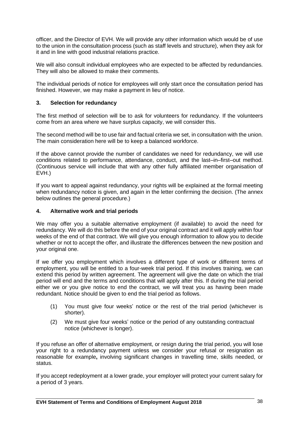officer, and the Director of EVH. We will provide any other information which would be of use to the union in the consultation process (such as staff levels and structure), when they ask for it and in line with good industrial relations practice.

We will also consult individual employees who are expected to be affected by redundancies. They will also be allowed to make their comments.

The individual periods of notice for employees will only start once the consultation period has finished. However, we may make a payment in lieu of notice.

### **3. Selection for redundancy**

The first method of selection will be to ask for volunteers for redundancy. If the volunteers come from an area where we have surplus capacity, we will consider this.

The second method will be to use fair and factual criteria we set, in consultation with the union. The main consideration here will be to keep a balanced workforce.

If the above cannot provide the number of candidates we need for redundancy, we will use conditions related to performance, attendance, conduct, and the last–in–first–out method. (Continuous service will include that with any other fully affiliated member organisation of EVH.)

If you want to appeal against redundancy, your rights will be explained at the formal meeting when redundancy notice is given, and again in the letter confirming the decision. (The annex below outlines the general procedure.)

### **4. Alternative work and trial periods**

We may offer you a suitable alternative employment (if available) to avoid the need for redundancy. We will do this before the end of your original contract and it will apply within four weeks of the end of that contract. We will give you enough information to allow you to decide whether or not to accept the offer, and illustrate the differences between the new position and your original one.

If we offer you employment which involves a different type of work or different terms of employment, you will be entitled to a four-week trial period. If this involves training, we can extend this period by written agreement. The agreement will give the date on which the trial period will end and the terms and conditions that will apply after this. If during the trial period either we or you give notice to end the contract, we will treat you as having been made redundant. Notice should be given to end the trial period as follows.

- (1) You must give four weeks' notice or the rest of the trial period (whichever is shorter).
- (2) We must give four weeks' notice or the period of any outstanding contractual notice (whichever is longer).

If you refuse an offer of alternative employment, or resign during the trial period, you will lose your right to a redundancy payment unless we consider your refusal or resignation as reasonable for example**,** involving significant changes in travelling time, skills needed, or status.

If you accept redeployment at a lower grade, your employer will protect your current salary for a period of 3 years.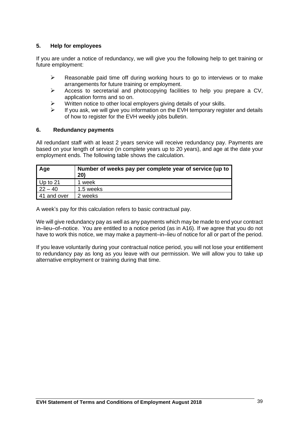### **5. Help for employees**

If you are under a notice of redundancy, we will give you the following help to get training or future employment:

- ➢ Reasonable paid time off during working hours to go to interviews or to make arrangements for future training or employment.
- ➢ Access to secretarial and photocopying facilities to help you prepare a CV, application forms and so on.
- ➢ Written notice to other local employers giving details of your skills.
- $\triangleright$  If you ask, we will give you information on the EVH temporary register and details of how to register for the EVH weekly jobs bulletin.

### **6. Redundancy payments**

All redundant staff with at least 2 years service will receive redundancy pay. Payments are based on your length of service (in complete years up to 20 years), and age at the date your employment ends. The following table shows the calculation.

| Age         | Number of weeks pay per complete year of service (up to<br>20) |
|-------------|----------------------------------------------------------------|
| Up to $21$  | 1 week                                                         |
| $22 - 40$   | 1.5 weeks                                                      |
| 41 and over | 2 weeks                                                        |

A week's pay for this calculation refers to basic contractual pay.

We will give redundancy pay as well as any payments which may be made to end your contract in–lieu–of–notice. You are entitled to a notice period (as in A16). If we agree that you do not have to work this notice, we may make a payment–in–lieu of notice for all or part of the period.

If you leave voluntarily during your contractual notice period, you will not lose your entitlement to redundancy pay as long as you leave with our permission. We will allow you to take up alternative employment or training during that time.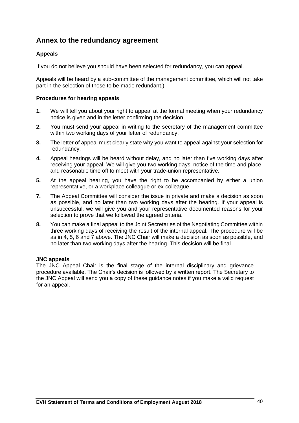# **Annex to the redundancy agreement**

# **Appeals**

If you do not believe you should have been selected for redundancy, you can appeal.

Appeals will be heard by a sub-committee of the management committee, which will not take part in the selection of those to be made redundant.)

### **Procedures for hearing appeals**

- **1.** We will tell you about your right to appeal at the formal meeting when your redundancy notice is given and in the letter confirming the decision.
- **2.** You must send your appeal in writing to the secretary of the management committee within two working days of your letter of redundancy.
- **3.** The letter of appeal must clearly state why you want to appeal against your selection for redundancy.
- **4.** Appeal hearings will be heard without delay, and no later than five working days after receiving your appeal. We will give you two working days' notice of the time and place, and reasonable time off to meet with your trade-union representative.
- **5.** At the appeal hearing, you have the right to be accompanied by either a union representative, or a workplace colleague or ex-colleague.
- **7.** The Appeal Committee will consider the issue in private and make a decision as soon as possible, and no later than two working days after the hearing. If your appeal is unsuccessful, we will give you and your representative documented reasons for your selection to prove that we followed the agreed criteria.
- **8.** You can make a final appeal to the Joint Secretaries of the Negotiating Committee within three working days of receiving the result of the internal appeal. The procedure will be as in 4, 5, 6 and 7 above. The JNC Chair will make a decision as soon as possible, and no later than two working days after the hearing. This decision will be final.

### **JNC appeals**

The JNC Appeal Chair is the final stage of the internal disciplinary and grievance procedure available. The Chair's decision is followed by a written report. The Secretary to the JNC Appeal will send you a copy of these guidance notes if you make a valid request for an appeal.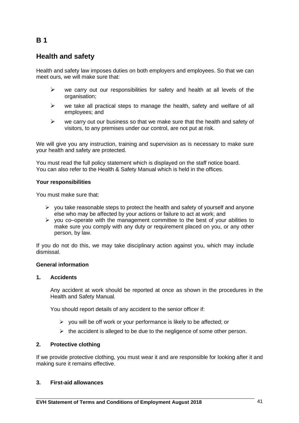# **Health and safety**

Health and safety law imposes duties on both employers and employees. So that we can meet ours, we will make sure that:

- $\triangleright$  we carry out our responsibilities for safety and health at all levels of the organisation;
- $\triangleright$  we take all practical steps to manage the health, safety and welfare of all employees; and
- $\triangleright$  we carry out our business so that we make sure that the health and safety of visitors, to any premises under our control, are not put at risk.

We will give you any instruction, training and supervision as is necessary to make sure your health and safety are protected.

You must read the full policy statement which is displayed on the staff notice board. You can also refer to the Health & Safety Manual which is held in the offices.

#### **Your responsibilities**

You must make sure that:

- $\triangleright$  you take reasonable steps to protect the health and safety of yourself and anyone else who may be affected by your actions or failure to act at work; and
- $\triangleright$  you co–operate with the management committee to the best of your abilities to make sure you comply with any duty or requirement placed on you, or any other person, by law.

If you do not do this, we may take disciplinary action against you, which may include dismissal.

### **General information**

#### **1. Accidents**

Any accident at work should be reported at once as shown in the procedures in the Health and Safety Manual.

You should report details of any accident to the senior officer if:

- $\triangleright$  you will be off work or your performance is likely to be affected; or
- $\triangleright$  the accident is alleged to be due to the negligence of some other person.

# **2. Protective clothing**

If we provide protective clothing, you must wear it and are responsible for looking after it and making sure it remains effective.

### **3. First-aid allowances**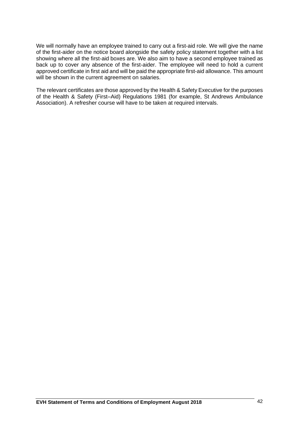We will normally have an employee trained to carry out a first-aid role. We will give the name of the first-aider on the notice board alongside the safety policy statement together with a list showing where all the first-aid boxes are. We also aim to have a second employee trained as back up to cover any absence of the first-aider. The employee will need to hold a current approved certificate in first aid and will be paid the appropriate first-aid allowance. This amount will be shown in the current agreement on salaries.

The relevant certificates are those approved by the Health & Safety Executive for the purposes of the Health & Safety (First–Aid) Regulations 1981 (for example, St Andrews Ambulance Association). A refresher course will have to be taken at required intervals.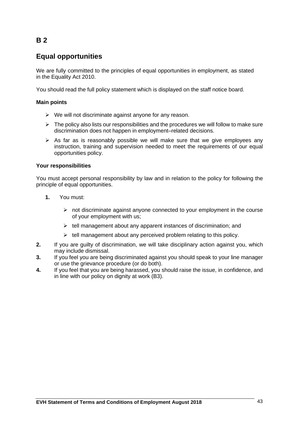# **Equal opportunities**

We are fully committed to the principles of equal opportunities in employment, as stated in the Equality Act 2010.

You should read the full policy statement which is displayed on the staff notice board.

### **Main points**

- $\triangleright$  We will not discriminate against anyone for any reason.
- $\triangleright$  The policy also lists our responsibilities and the procedures we will follow to make sure discrimination does not happen in employment–related decisions.
- $\triangleright$  As far as is reasonably possible we will make sure that we give employees any instruction, training and supervision needed to meet the requirements of our equal opportunities policy.

### **Your responsibilities**

You must accept personal responsibility by law and in relation to the policy for following the principle of equal opportunities.

- **1.** You must:
	- ➢ not discriminate against anyone connected to your employment in the course of your employment with us;
	- $\triangleright$  tell management about any apparent instances of discrimination; and
	- $\triangleright$  tell management about any perceived problem relating to this policy.
- **2.** If you are guilty of discrimination, we will take disciplinary action against you, which may include dismissal.
- **3.** If you feel you are being discriminated against you should speak to your line manager or use the grievance procedure (or do both).
- **4.** If you feel that you are being harassed, you should raise the issue, in confidence, and in line with our policy on dignity at work (B3).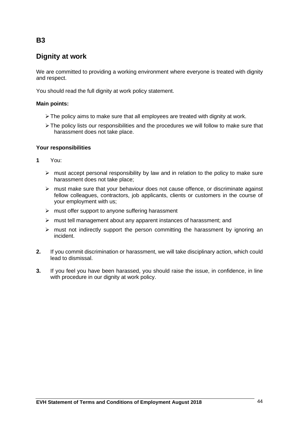# **Dignity at work**

We are committed to providing a working environment where everyone is treated with dignity and respect.

You should read the full dignity at work policy statement.

### **Main points:**

- $\triangleright$  The policy aims to make sure that all employees are treated with dignity at work.
- $\triangleright$  The policy lists our responsibilities and the procedures we will follow to make sure that harassment does not take place.

### **Your responsibilities**

- **1** You:
	- $\triangleright$  must accept personal responsibility by law and in relation to the policy to make sure harassment does not take place;
	- $\triangleright$  must make sure that your behaviour does not cause offence, or discriminate against fellow colleagues, contractors, job applicants, clients or customers in the course of your employment with us;
	- $\triangleright$  must offer support to anyone suffering harassment
	- ➢ must tell management about any apparent instances of harassment; and
	- $\triangleright$  must not indirectly support the person committing the harassment by ignoring an incident.
- **2.** If you commit discrimination or harassment, we will take disciplinary action, which could lead to dismissal.
- **3.** If you feel you have been harassed, you should raise the issue, in confidence, in line with procedure in our dignity at work policy.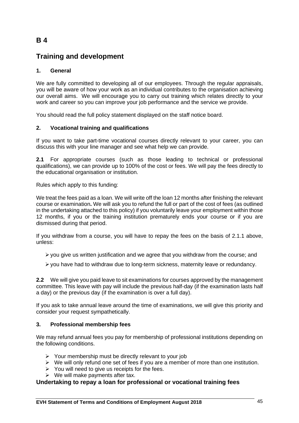# **Training and development**

# **1. General**

We are fully committed to developing all of our employees. Through the regular appraisals, you will be aware of how your work as an individual contributes to the organisation achieving our overall aims. We will encourage you to carry out training which relates directly to your work and career so you can improve your job performance and the service we provide.

You should read the full policy statement displayed on the staff notice board.

### **2. Vocational training and qualifications**

If you want to take part-time vocational courses directly relevant to your career, you can discuss this with your line manager and see what help we can provide.

**2.1** For appropriate courses (such as those leading to technical or professional qualifications), we can provide up to 100% of the cost or fees. We will pay the fees directly to the educational organisation or institution.

Rules which apply to this funding:

We treat the fees paid as a loan. We will write off the loan 12 months after finishing the relevant course or examination**.** We will ask you to refund the full or part of the cost of fees (as outlined in the undertaking attached to this policy) if you voluntarily leave your employment within those 12 months, if you or the training institution prematurely ends your course or if you are dismissed during that period.

If you withdraw from a course, you will have to repay the fees on the basis of 2.1.1 above, unless:

➢you give us written justification and we agree that you withdraw from the course; and

➢you have had to withdraw due to long-term sickness, maternity leave or redundancy.

**2.2** We will give you paid leave to sit examinations for courses approved by the management committee. This leave with pay will include the previous half-day (if the examination lasts half a day) or the previous day (if the examination is over a full day).

If you ask to take annual leave around the time of examinations, we will give this priority and consider your request sympathetically.

### **3. Professional membership fees**

We may refund annual fees you pay for membership of professional institutions depending on the following conditions.

- $\triangleright$  Your membership must be directly relevant to your job
- ➢ We will only refund one set of fees if you are a member of more than one institution.
- $\triangleright$  You will need to give us receipts for the fees.
- $\triangleright$  We will make payments after tax.

# **Undertaking to repay a loan for professional or vocational training fees**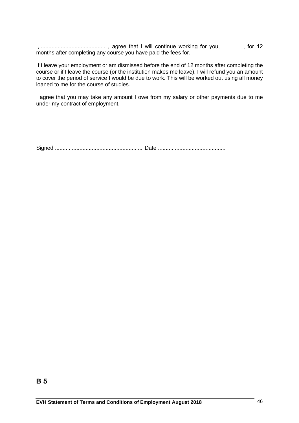I,........................................... , agree that I will continue working for you,…………., for 12 months after completing any course you have paid the fees for.

If I leave your employment or am dismissed before the end of 12 months after completing the course or if I leave the course (or the institution makes me leave), I will refund you an amount to cover the period of service I would be due to work. This will be worked out using all money loaned to me for the course of studies.

I agree that you may take any amount I owe from my salary or other payments due to me under my contract of employment.

Signed ......................................................... Date ............................................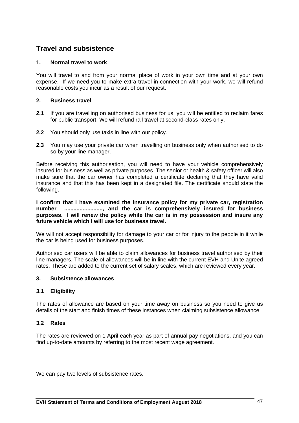# **Travel and subsistence**

### **1. Normal travel to work**

You will travel to and from your normal place of work in your own time and at your own expense. If we need you to make extra travel in connection with your work, we will refund reasonable costs you incur as a result of our request.

### **2. Business travel**

- **2.1** If you are travelling on authorised business for us, you will be entitled to reclaim fares for public transport. We will refund rail travel at second-class rates only.
- **2.2** You should only use taxis in line with our policy.
- **2.3** You may use your private car when travelling on business only when authorised to do so by your line manager.

Before receiving this authorisation, you will need to have your vehicle comprehensively insured for business as well as private purposes. The senior or health & safety officer will also make sure that the car owner has completed a certificate declaring that they have valid insurance and that this has been kept in a designated file. The certificate should state the following.

**I confirm that I have examined the insurance policy for my private car, registration number ........................., and the car is comprehensively insured for business purposes. I will renew the policy while the car is in my possession and insure any future vehicle which I will use for business travel.**

We will not accept responsibility for damage to your car or for injury to the people in it while the car is being used for business purposes.

Authorised car users will be able to claim allowances for business travel authorised by their line managers. The scale of allowances will be in line with the current EVH and Unite agreed rates. These are added to the current set of salary scales, which are reviewed every year.

### **3. Subsistence allowances**

# **3.1 Eligibility**

The rates of allowance are based on your time away on business so you need to give us details of the start and finish times of these instances when claiming subsistence allowance.

### **3.2 Rates**

The rates are reviewed on 1 April each year as part of annual pay negotiations, and you can find up-to-date amounts by referring to the most recent wage agreement.

We can pay two levels of subsistence rates.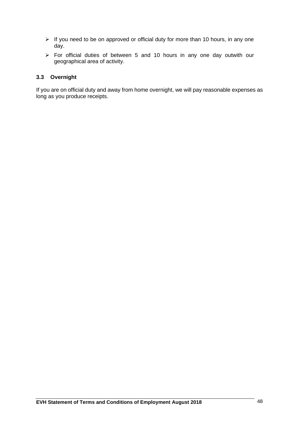- ➢ If you need to be on approved or official duty for more than 10 hours, in any one day.
- ➢ For official duties of between 5 and 10 hours in any one day outwith our geographical area of activity.

### **3.3 Overnight**

If you are on official duty and away from home overnight, we will pay reasonable expenses as long as you produce receipts.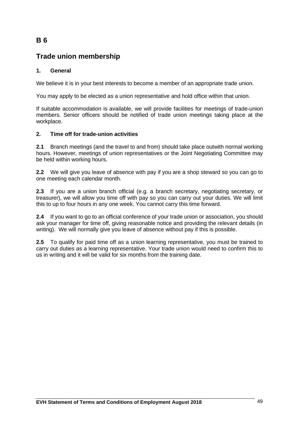# **Trade union membership**

# **1. General**

We believe it is in your best interests to become a member of an appropriate trade union.

You may apply to be elected as a union representative and hold office within that union.

If suitable accommodation is available, we will provide facilities for meetings of trade-union members. Senior officers should be notified of trade union meetings taking place at the workplace.

# **2. Time off for trade-union activities**

**2.1** Branch meetings (and the travel to and from) should take place outwith normal working hours. However, meetings of union representatives or the Joint Negotiating Committee may be held within working hours.

**2.2** We will give you leave of absence with pay if you are a shop steward so you can go to one meeting each calendar month.

**2.3** If you are a union branch official (e.g. a branch secretary, negotiating secretary, or treasurer), we will allow you time off with pay so you can carry out your duties. We will limit this to up to four hours in any one week. You cannot carry this time forward.

**2.4** If you want to go to an official conference of your trade union or association, you should ask your manager for time off, giving reasonable notice and providing the relevant details (in writing). We will normally give you leave of absence without pay if this is possible.

**2.5** To qualify for paid time off as a union learning representative, you must be trained to carry out duties as a learning representative. Your trade union would need to confirm this to us in writing and it will be valid for six months from the training date.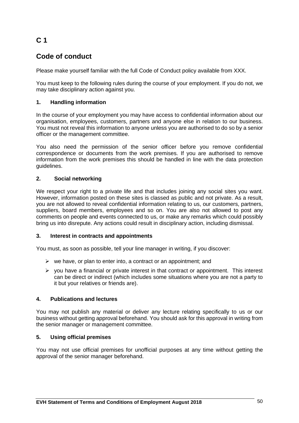# **C 1**

# **Code of conduct**

Please make yourself familiar with the full Code of Conduct policy available from XXX.

You must keep to the following rules during the course of your employment. If you do not, we may take disciplinary action against you.

### **1. Handling information**

In the course of your employment you may have access to confidential information about our organisation, employees, customers, partners and anyone else in relation to our business. You must not reveal this information to anyone unless you are authorised to do so by a senior officer or the management committee.

You also need the permission of the senior officer before you remove confidential correspondence or documents from the work premises. If you are authorised to remove information from the work premises this should be handled in line with the data protection guidelines.

### **2. Social networking**

We respect your right to a private life and that includes joining any social sites you want. However, information posted on these sites is classed as public and not private. As a result, you are not allowed to reveal confidential information relating to us, our customers, partners, suppliers, board members, employees and so on. You are also not allowed to post any comments on people and events connected to us, or make any remarks which could possibly bring us into disrepute. Any actions could result in disciplinary action, including dismissal.

### **3. Interest in contracts and appointments**

You must, as soon as possible, tell your line manager in writing, if you discover:

- $\triangleright$  we have, or plan to enter into, a contract or an appointment; and
- $\triangleright$  you have a financial or private interest in that contract or appointment. This interest can be direct or indirect (which includes some situations where you are not a party to it but your relatives or friends are).

# **4. Publications and lectures**

You may not publish any material or deliver any lecture relating specifically to us or our business without getting approval beforehand. You should ask for this approval in writing from the senior manager or management committee.

### **5. Using official premises**

You may not use official premises for unofficial purposes at any time without getting the approval of the senior manager beforehand.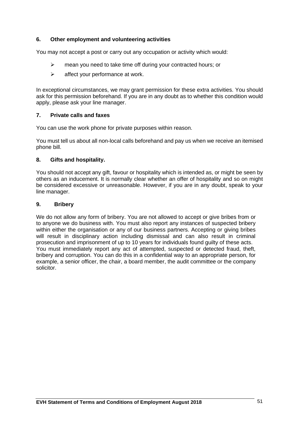### **6. Other employment and volunteering activities**

You may not accept a post or carry out any occupation or activity which would:

- ➢ mean you need to take time off during your contracted hours; or
- $\triangleright$  affect your performance at work.

In exceptional circumstances, we may grant permission for these extra activities. You should ask for this permission beforehand. If you are in any doubt as to whether this condition would apply, please ask your line manager.

### **7. Private calls and faxes**

You can use the work phone for private purposes within reason.

You must tell us about all non-local calls beforehand and pay us when we receive an itemised phone bill.

#### **8. Gifts and hospitality.**

You should not accept any gift, favour or hospitality which is intended as, or might be seen by others as an inducement. It is normally clear whether an offer of hospitality and so on might be considered excessive or unreasonable. However, if you are in any doubt, speak to your line manager.

#### **9. Bribery**

We do not allow any form of bribery. You are not allowed to accept or give bribes from or to anyone we do business with. You must also report any instances of suspected bribery within either the organisation or any of our business partners. Accepting or giving bribes will result in disciplinary action including dismissal and can also result in criminal prosecution and imprisonment of up to 10 years for individuals found guilty of these acts. You must immediately report any act of attempted, suspected or detected fraud, theft, bribery and corruption. You can do this in a confidential way to an appropriate person, for example, a senior officer, the chair, a board member, the audit committee or the company solicitor.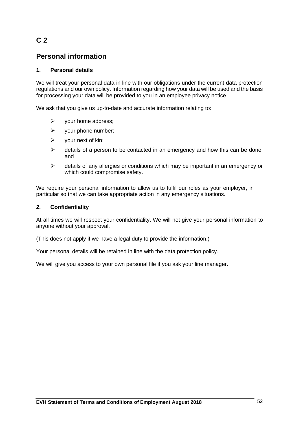# **C 2**

# **Personal information**

# **1. Personal details**

We will treat your personal data in line with our obligations under the current data protection regulations and our own policy. Information regarding how your data will be used and the basis for processing your data will be provided to you in an employee privacy notice.

We ask that you give us up-to-date and accurate information relating to:

- $\triangleright$  your home address;
- ➢ your phone number;
- $\triangleright$  your next of kin;
- $\triangleright$  details of a person to be contacted in an emergency and how this can be done; and
- $\triangleright$  details of any allergies or conditions which may be important in an emergency or which could compromise safety.

We require your personal information to allow us to fulfil our roles as your employer, in particular so that we can take appropriate action in any emergency situations.

### **2. Confidentiality**

At all times we will respect your confidentiality. We will not give your personal information to anyone without your approval.

(This does not apply if we have a legal duty to provide the information.)

Your personal details will be retained in line with the data protection policy.

We will give you access to your own personal file if you ask your line manager.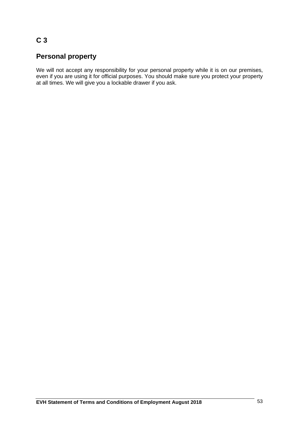# **C 3**

# **Personal property**

We will not accept any responsibility for your personal property while it is on our premises, even if you are using it for official purposes. You should make sure you protect your property at all times. We will give you a lockable drawer if you ask.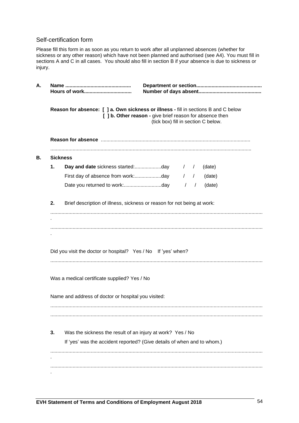### Self-certification form

Please fill this form in as soon as you return to work after all unplanned absences (whether for sickness or any other reason) which have not been planned and authorised (see A4). You must fill in sections A and C in all cases. You should also fill in section B if your absence is due to sickness or injury.

|    |                                                                         | Reason for absence: [ ] a. Own sickness or illness - fill in sections B and C below<br>[ ] b. Other reason - give brief reason for absence then<br>(tick box) fill in section C below. |  |               |        |  |
|----|-------------------------------------------------------------------------|----------------------------------------------------------------------------------------------------------------------------------------------------------------------------------------|--|---------------|--------|--|
|    |                                                                         |                                                                                                                                                                                        |  |               |        |  |
|    | <b>Sickness</b>                                                         |                                                                                                                                                                                        |  |               |        |  |
| 1. |                                                                         |                                                                                                                                                                                        |  | $\frac{1}{2}$ | (date) |  |
|    | First day of absence from work:day                                      |                                                                                                                                                                                        |  | $\frac{1}{2}$ | (date) |  |
|    |                                                                         |                                                                                                                                                                                        |  | $\frac{1}{2}$ | (date) |  |
| 2. | Brief description of illness, sickness or reason for not being at work: |                                                                                                                                                                                        |  |               |        |  |
|    |                                                                         |                                                                                                                                                                                        |  |               |        |  |
|    |                                                                         |                                                                                                                                                                                        |  |               |        |  |
|    |                                                                         |                                                                                                                                                                                        |  |               |        |  |
|    | Did you visit the doctor or hospital? Yes / No If 'yes' when?           |                                                                                                                                                                                        |  |               |        |  |
|    |                                                                         |                                                                                                                                                                                        |  |               |        |  |
|    |                                                                         |                                                                                                                                                                                        |  |               |        |  |
|    | Was a medical certificate supplied? Yes / No                            |                                                                                                                                                                                        |  |               |        |  |
|    |                                                                         |                                                                                                                                                                                        |  |               |        |  |
|    | Name and address of doctor or hospital you visited:                     |                                                                                                                                                                                        |  |               |        |  |
|    |                                                                         |                                                                                                                                                                                        |  |               |        |  |
|    |                                                                         |                                                                                                                                                                                        |  |               |        |  |
| 3. | Was the sickness the result of an injury at work? Yes / No              |                                                                                                                                                                                        |  |               |        |  |
|    | If 'yes' was the accident reported? (Give details of when and to whom.) |                                                                                                                                                                                        |  |               |        |  |
|    |                                                                         |                                                                                                                                                                                        |  |               |        |  |
|    |                                                                         |                                                                                                                                                                                        |  |               |        |  |
|    |                                                                         |                                                                                                                                                                                        |  |               |        |  |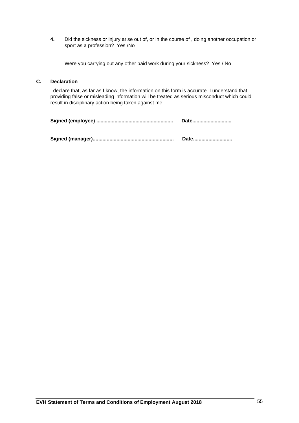**4.** Did the sickness or injury arise out of, or in the course of , doing another occupation or sport as a profession? Yes /No

Were you carrying out any other paid work during your sickness? Yes / No

### **C. Declaration**

I declare that, as far as I know, the information on this form is accurate. I understand that providing false or misleading information will be treated as serious misconduct which could result in disciplinary action being taken against me.

| Date |
|------|
|      |

**Signed (manager).......................................................... Date............................**